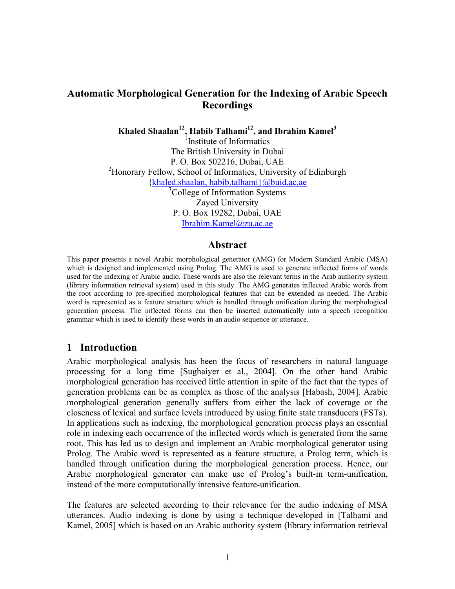## **Automatic Morphological Generation for the Indexing of Arabic Speech Recordings**

Khaled Shaalan<sup>12</sup>, Habib Talhami<sup>12</sup>, and Ibrahim Kamel<sup>3</sup> <sup>1</sup>Institute of Informatics The British University in Dubai P. O. Box 502216, Dubai, UAE <sup>2</sup>Honorary Fellow, School of Informatics, University of Edinburgh {khaled.shaalan, habib.talhami}@buid.ac.ae 3 College of Information Systems Zayed University P. O. Box 19282, Dubai, UAE Ibrahim.Kamel@zu.ac.ae

#### **Abstract**

This paper presents a novel Arabic morphological generator (AMG) for Modern Standard Arabic (MSA) which is designed and implemented using Prolog. The AMG is used to generate inflected forms of words used for the indexing of Arabic audio. These words are also the relevant terms in the Arab authority system (library information retrieval system) used in this study. The AMG generates inflected Arabic words from the root according to pre-specified morphological features that can be extended as needed. The Arabic word is represented as a feature structure which is handled through unification during the morphological generation process. The inflected forms can then be inserted automatically into a speech recognition grammar which is used to identify these words in an audio sequence or utterance.

## **1 Introduction**

Arabic morphological analysis has been the focus of researchers in natural language processing for a long time [Sughaiyer et al., 2004]. On the other hand Arabic morphological generation has received little attention in spite of the fact that the types of generation problems can be as complex as those of the analysis [Habash, 2004]. Arabic morphological generation generally suffers from either the lack of coverage or the closeness of lexical and surface levels introduced by using finite state transducers (FSTs). In applications such as indexing, the morphological generation process plays an essential role in indexing each occurrence of the inflected words which is generated from the same root. This has led us to design and implement an Arabic morphological generator using Prolog. The Arabic word is represented as a feature structure, a Prolog term, which is handled through unification during the morphological generation process. Hence, our Arabic morphological generator can make use of Prolog's built-in term-unification, instead of the more computationally intensive feature-unification.

The features are selected according to their relevance for the audio indexing of MSA utterances. Audio indexing is done by using a technique developed in [Talhami and Kamel, 2005] which is based on an Arabic authority system (library information retrieval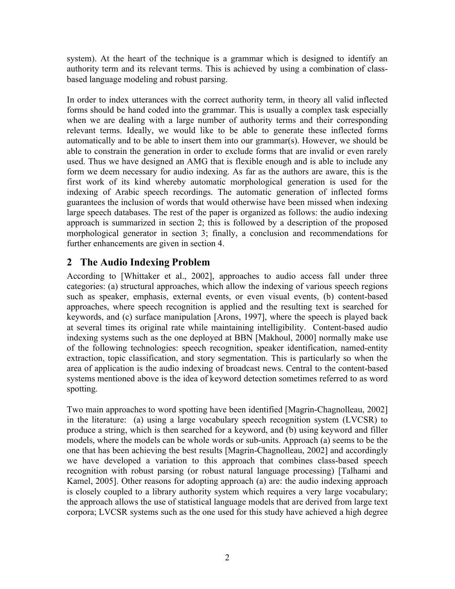system). At the heart of the technique is a grammar which is designed to identify an authority term and its relevant terms. This is achieved by using a combination of classbased language modeling and robust parsing.

In order to index utterances with the correct authority term, in theory all valid inflected forms should be hand coded into the grammar. This is usually a complex task especially when we are dealing with a large number of authority terms and their corresponding relevant terms. Ideally, we would like to be able to generate these inflected forms automatically and to be able to insert them into our grammar(s). However, we should be able to constrain the generation in order to exclude forms that are invalid or even rarely used. Thus we have designed an AMG that is flexible enough and is able to include any form we deem necessary for audio indexing. As far as the authors are aware, this is the first work of its kind whereby automatic morphological generation is used for the indexing of Arabic speech recordings. The automatic generation of inflected forms guarantees the inclusion of words that would otherwise have been missed when indexing large speech databases. The rest of the paper is organized as follows: the audio indexing approach is summarized in section 2; this is followed by a description of the proposed morphological generator in section 3; finally, a conclusion and recommendations for further enhancements are given in section 4.

# **2 The Audio Indexing Problem**

According to [Whittaker et al., 2002], approaches to audio access fall under three categories: (a) structural approaches, which allow the indexing of various speech regions such as speaker, emphasis, external events, or even visual events, (b) content-based approaches, where speech recognition is applied and the resulting text is searched for keywords, and (c) surface manipulation [Arons, 1997], where the speech is played back at several times its original rate while maintaining intelligibility. Content-based audio indexing systems such as the one deployed at BBN [Makhoul, 2000] normally make use of the following technologies: speech recognition, speaker identification, named-entity extraction, topic classification, and story segmentation. This is particularly so when the area of application is the audio indexing of broadcast news. Central to the content-based systems mentioned above is the idea of keyword detection sometimes referred to as word spotting.

Two main approaches to word spotting have been identified [Magrin-Chagnolleau, 2002] in the literature: (a) using a large vocabulary speech recognition system (LVCSR) to produce a string, which is then searched for a keyword, and (b) using keyword and filler models, where the models can be whole words or sub-units. Approach (a) seems to be the one that has been achieving the best results [Magrin-Chagnolleau, 2002] and accordingly we have developed a variation to this approach that combines class-based speech recognition with robust parsing (or robust natural language processing) [Talhami and Kamel, 2005]. Other reasons for adopting approach (a) are: the audio indexing approach is closely coupled to a library authority system which requires a very large vocabulary; the approach allows the use of statistical language models that are derived from large text corpora; LVCSR systems such as the one used for this study have achieved a high degree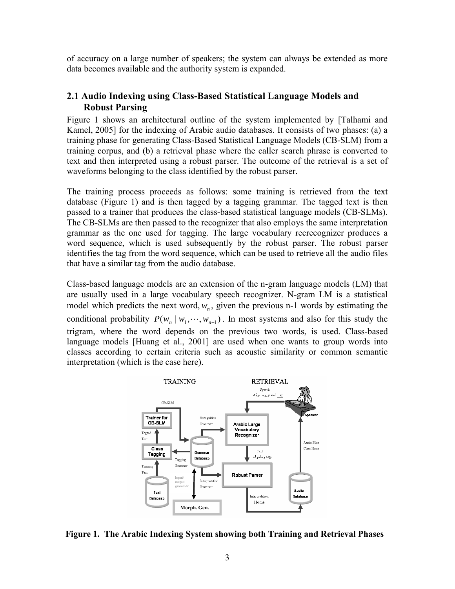of accuracy on a large number of speakers; the system can always be extended as more data becomes available and the authority system is expanded.

### **2.1 Audio Indexing using Class-Based Statistical Language Models and Robust Parsing**

Figure 1 shows an architectural outline of the system implemented by [Talhami and Kamel, 2005] for the indexing of Arabic audio databases. It consists of two phases: (a) a training phase for generating Class-Based Statistical Language Models (CB-SLM) from a training corpus, and (b) a retrieval phase where the caller search phrase is converted to text and then interpreted using a robust parser. The outcome of the retrieval is a set of waveforms belonging to the class identified by the robust parser.

The training process proceeds as follows: some training is retrieved from the text database (Figure 1) and is then tagged by a tagging grammar. The tagged text is then passed to a trainer that produces the class-based statistical language models (CB-SLMs). The CB-SLMs are then passed to the recognizer that also employs the same interpretation grammar as the one used for tagging. The large vocabulary recrecognizer produces a word sequence, which is used subsequently by the robust parser. The robust parser identifies the tag from the word sequence, which can be used to retrieve all the audio files that have a similar tag from the audio database.

Class-based language models are an extension of the n-gram language models (LM) that are usually used in a large vocabulary speech recognizer. N-gram LM is a statistical model which predicts the next word,  $w_n$ , given the previous n-1 words by estimating the conditional probability  $P(w_n | w_1, \dots, w_{n-1})$ . In most systems and also for this study the trigram, where the word depends on the previous two words, is used. Class-based language models [Huang et al., 2001] are used when one wants to group words into classes according to certain criteria such as acoustic similarity or common semantic interpretation (which is the case here).



**Figure 1. The Arabic Indexing System showing both Training and Retrieval Phases**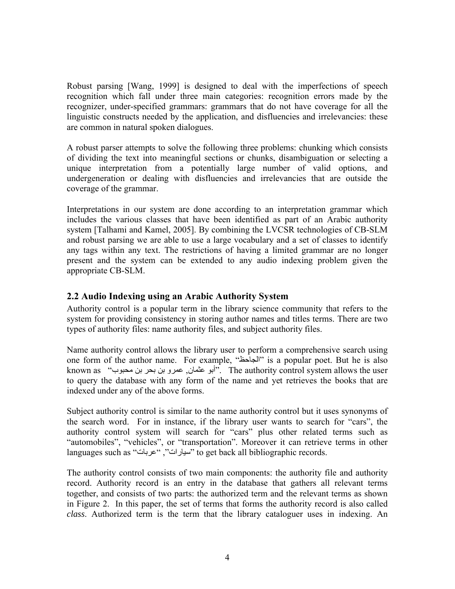Robust parsing [Wang, 1999] is designed to deal with the imperfections of speech recognition which fall under three main categories: recognition errors made by the recognizer, under-specified grammars: grammars that do not have coverage for all the linguistic constructs needed by the application, and disfluencies and irrelevancies: these are common in natural spoken dialogues.

A robust parser attempts to solve the following three problems: chunking which consists of dividing the text into meaningful sections or chunks, disambiguation or selecting a unique interpretation from a potentially large number of valid options, and undergeneration or dealing with disfluencies and irrelevancies that are outside the coverage of the grammar.

Interpretations in our system are done according to an interpretation grammar which includes the various classes that have been identified as part of an Arabic authority system [Talhami and Kamel, 2005]. By combining the LVCSR technologies of CB-SLM and robust parsing we are able to use a large vocabulary and a set of classes to identify any tags within any text. The restrictions of having a limited grammar are no longer present and the system can be extended to any audio indexing problem given the appropriate CB-SLM.

## **2.2 Audio Indexing using an Arabic Authority System**

Authority control is a popular term in the library science community that refers to the system for providing consistency in storing author names and titles terms. There are two types of authority files: name authority files, and subject authority files.

Name authority control allows the library user to perform a comprehensive search using one form of the author name. For example, "الجاحظ "is a popular poet. But he is also known as "أبو عثمان عمرو بن بحر بن محبوب". Known as "i-أبو عثمان أبو عشمان أبو عبد أبو عبد السلام known as to query the database with any form of the name and yet retrieves the books that are indexed under any of the above forms.

Subject authority control is similar to the name authority control but it uses synonyms of the search word. For in instance, if the library user wants to search for "cars", the authority control system will search for "cars" plus other related terms such as "automobiles", "vehicles", or "transportation". Moreover it can retrieve terms in other languages such as "سیارات", "عربات" to get back all bibliographic records.

The authority control consists of two main components: the authority file and authority record. Authority record is an entry in the database that gathers all relevant terms together, and consists of two parts: the authorized term and the relevant terms as shown in Figure 2. In this paper, the set of terms that forms the authority record is also called *class*. Authorized term is the term that the library cataloguer uses in indexing. An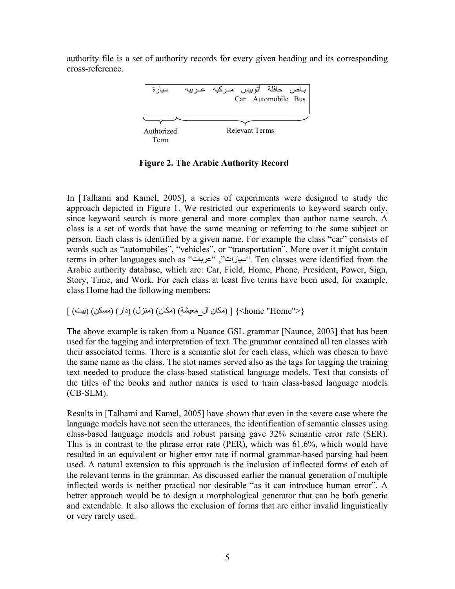authority file is a set of authority records for every given heading and its corresponding cross-reference.



**Figure 2. The Arabic Authority Record**

In [Talhami and Kamel, 2005], a series of experiments were designed to study the approach depicted in Figure 1. We restricted our experiments to keyword search only, since keyword search is more general and more complex than author name search. A class is a set of words that have the same meaning or referring to the same subject or person. Each class is identified by a given name. For example the class "car" consists of words such as "automobiles", "vehicles", or "transportation". More over it might contain terms in other languages such as "عربات ","سیارات". Ten classes were identified from the Arabic authority database, which are: Car, Field, Home, Phone, President, Power, Sign, Story, Time, and Work. For each class at least five terms have been used, for example, class Home had the following members:

{<"Home "home) ] {<مكان ال\_معیشة) (مكان) (منزل) (دار) (مسكن) (بیت) ]

The above example is taken from a Nuance GSL grammar [Naunce, 2003] that has been used for the tagging and interpretation of text. The grammar contained all ten classes with their associated terms. There is a semantic slot for each class, which was chosen to have the same name as the class. The slot names served also as the tags for tagging the training text needed to produce the class-based statistical language models. Text that consists of the titles of the books and author names is used to train class-based language models (CB-SLM).

Results in [Talhami and Kamel, 2005] have shown that even in the severe case where the language models have not seen the utterances, the identification of semantic classes using class-based language models and robust parsing gave 32% semantic error rate (SER). This is in contrast to the phrase error rate (PER), which was 61.6%, which would have resulted in an equivalent or higher error rate if normal grammar-based parsing had been used. A natural extension to this approach is the inclusion of inflected forms of each of the relevant terms in the grammar. As discussed earlier the manual generation of multiple inflected words is neither practical nor desirable "as it can introduce human error". A better approach would be to design a morphological generator that can be both generic and extendable. It also allows the exclusion of forms that are either invalid linguistically or very rarely used.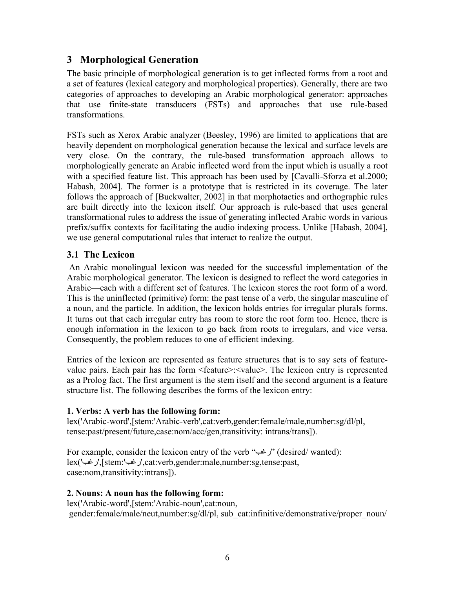# **3 Morphological Generation**

The basic principle of morphological generation is to get inflected forms from a root and a set of features (lexical category and morphological properties). Generally, there are two categories of approaches to developing an Arabic morphological generator: approaches that use finite-state transducers (FSTs) and approaches that use rule-based transformations.

FSTs such as Xerox Arabic analyzer (Beesley, 1996) are limited to applications that are heavily dependent on morphological generation because the lexical and surface levels are very close. On the contrary, the rule-based transformation approach allows to morphologically generate an Arabic inflected word from the input which is usually a root with a specified feature list. This approach has been used by [Cavalli-Sforza et al.2000; Habash, 2004]. The former is a prototype that is restricted in its coverage. The later follows the approach of [Buckwalter, 2002] in that morphotactics and orthographic rules are built directly into the lexicon itself. Our approach is rule-based that uses general transformational rules to address the issue of generating inflected Arabic words in various prefix/suffix contexts for facilitating the audio indexing process. Unlike [Habash, 2004], we use general computational rules that interact to realize the output.

## **3.1 The Lexicon**

 An Arabic monolingual lexicon was needed for the successful implementation of the Arabic morphological generator. The lexicon is designed to reflect the word categories in Arabic—each with a different set of features. The lexicon stores the root form of a word. This is the uninflected (primitive) form: the past tense of a verb, the singular masculine of a noun, and the particle. In addition, the lexicon holds entries for irregular plurals forms. It turns out that each irregular entry has room to store the root form too. Hence, there is enough information in the lexicon to go back from roots to irregulars, and vice versa. Consequently, the problem reduces to one of efficient indexing.

Entries of the lexicon are represented as feature structures that is to say sets of featurevalue pairs. Each pair has the form <feature>:<value>. The lexicon entry is represented as a Prolog fact. The first argument is the stem itself and the second argument is a feature structure list. The following describes the forms of the lexicon entry:

### **1. Verbs: A verb has the following form:**

lex('Arabic-word',[stem:'Arabic-verb',cat:verb,gender:female/male,number:sg/dl/pl, tense:past/present/future,case:nom/acc/gen,transitivity: intrans/trans]).

For example, consider the lexicon entry of the verb "رغب) "desired/ wanted): lex('رغب',]stem:'رغب',cat:verb,gender:male,number:sg,tense:past, case:nom,transitivity:intrans]).

### **2. Nouns: A noun has the following form:**

lex('Arabic-word',[stem:'Arabic-noun',cat:noun, gender:female/male/neut,number:sg/dl/pl, sub\_cat:infinitive/demonstrative/proper\_noun/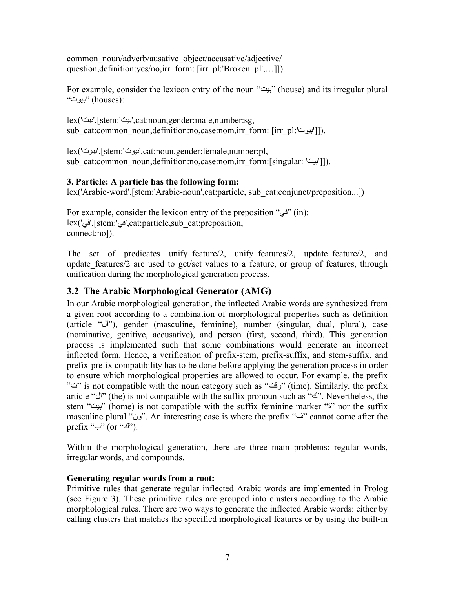common\_noun/adverb/ausative\_object/accusative/adjective/ question,definition:yes/no,irr\_form: [irr\_pl:'Broken\_pl',...]]).

For example, consider the lexicon entry of the noun "بیت) "house) and its irregular plural :(houses) "بيوت"

lex('بیت',]stem:'بیت',cat:noun,gender:male,number:sg, sub\_cat:common\_noun,definition:no,case:nom,irr\_form: [irr\_pl:'بیوت']]).

lex('بیوت',]stem:'بیوت',cat:noun,gender:female,number:pl, sub\_cat:common\_noun,definition:no,case:nom,irr\_form:[singular: 'بیت']]).

### **3. Particle: A particle has the following form:**

lex('Arabic-word',[stem:'Arabic-noun',cat:particle, sub\_cat:conjunct/preposition...])

For example, consider the lexicon entry of the preposition "في" (in): lex('في',]stem:'في',cat:particle,sub\_cat:preposition, connect:no]).

The set of predicates unify feature/2, unify features/2, update feature/2, and update features/2 are used to get/set values to a feature, or group of features, through unification during the morphological generation process.

## **3.2 The Arabic Morphological Generator (AMG)**

In our Arabic morphological generation, the inflected Arabic words are synthesized from a given root according to a combination of morphological properties such as definition (article "ال"), gender (masculine, feminine), number (singular, dual, plural), case (nominative, genitive, accusative), and person (first, second, third). This generation process is implemented such that some combinations would generate an incorrect inflected form. Hence, a verification of prefix-stem, prefix-suffix, and stem-suffix, and prefix-prefix compatibility has to be done before applying the generation process in order to ensure which morphological properties are allowed to occur. For example, the prefix "ت" is not compatible with the noun category such as "وقت" (time). Similarly, the prefix article "ال" (the) is not compatible with the suffix pronoun such as "ك". Nevertheless, the stem "بیت) "home) is not compatible with the suffix feminine marker "ة "nor the suffix masculine plural "ون". An interesting case is where the prefix "ف cannot come after the prefix "ب" (or "ك).

Within the morphological generation, there are three main problems: regular words, irregular words, and compounds.

### **Generating regular words from a root:**

Primitive rules that generate regular inflected Arabic words are implemented in Prolog (see Figure 3). These primitive rules are grouped into clusters according to the Arabic morphological rules. There are two ways to generate the inflected Arabic words: either by calling clusters that matches the specified morphological features or by using the built-in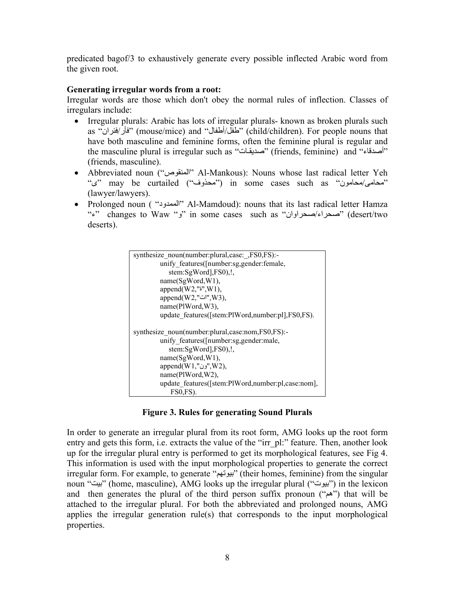predicated bagof/3 to exhaustively generate every possible inflected Arabic word from the given root.

#### **Generating irregular words from a root:**

Irregular words are those which don't obey the normal rules of inflection. Classes of irregulars include:

- Irregular plurals: Arabic has lots of irregular plurals- known as broken plurals such as "فئران/فأر) "mouse/mice) and "أطفال/طفل) "child/children). For people nouns that have both masculine and feminine forms, often the feminine plural is regular and the masculine plural is irregular such as "صدیقـات) "friends, feminine) and "أصدقاء " (friends, masculine).
- Abbreviated noun ("المنقوص "Al-Mankous): Nouns whose last radical letter Yeh "ى "may be curtailed ("محذوف ("in some cases such as "محامون/محامى" (lawyer/lawyers).
- Prolonged noun ( "الممدود "Al-Mamdoud): nouns that its last radical letter Hamza "مـدراء/صحراوان" changes to Waw "و" in some cases such as "صحراوان" (desert/two deserts).

| synthesize noun(number:plural,case: ,FS0,FS):-    |
|---------------------------------------------------|
| unify features([number:sg,gender:female,          |
| stem:SgWord],FS0),!,                              |
| name(SgWord,W1),                                  |
| append $(W2, "i", W1)$ ,                          |
| append(W2,"ان", W3),                              |
| name(PlWord, W3),                                 |
| update features([stem:PlWord,number:pl],FS0,FS).  |
|                                                   |
| synthesize noun(number:plural,case:nom,FS0,FS):   |
| unify features([number:sg,gender:male,            |
| stem:SgWord],FS0),!,                              |
| name(SgWord,W1),                                  |
| append(W1,"ون",W2),                               |
| name(PlWord, W2),                                 |
| update features([stem:PlWord,number:pl,case:nom], |
| $FS0.FS$ ).                                       |

#### **Figure 3. Rules for generating Sound Plurals**

In order to generate an irregular plural from its root form, AMG looks up the root form entry and gets this form, i.e. extracts the value of the "irr\_pl:" feature. Then, another look up for the irregular plural entry is performed to get its morphological features, see Fig 4. This information is used with the input morphological properties to generate the correct irregular form. For example, to generate "بیوتھم) "their homes, feminine) from the singular noun "بیت)" (home, masculine), AMG looks up the irregular plural ("بیوت") in the lexicon and then generates the plural of the third person suffix pronoun ( $\sim$   $\blacktriangleright$ ) that will be attached to the irregular plural. For both the abbreviated and prolonged nouns, AMG applies the irregular generation rule(s) that corresponds to the input morphological properties.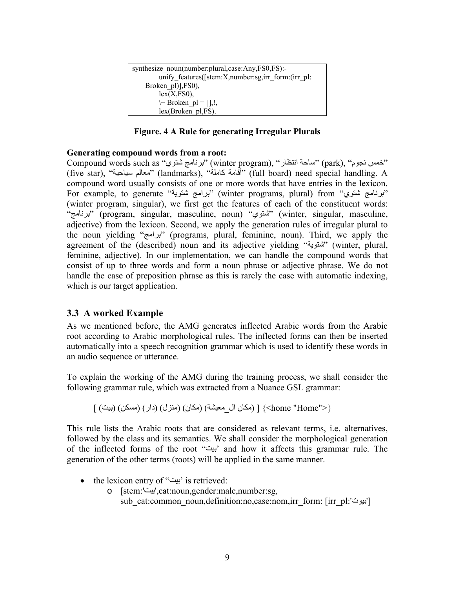| synthesize noun(number:plural,case:Any,FS0,FS):-   |  |
|----------------------------------------------------|--|
| unify features([stem:X,number:sg,irr form:(irr pl: |  |
| Broken pl)],FS0),                                  |  |
| $lex(X, FS0)$ ,                                    |  |
| $\forall$ Broken pl = [],!,                        |  |
| $lex(Broken\ pl, FS).$                             |  |

#### **Figure. 4 A Rule for generating Irregular Plurals**

#### **Generating compound words from a root:**

Compound words such as "برنامج شتوي" (winter program), "ساحة انتظار" (park), "خمس نجوم" (five star), "معالم سياحية) (landmarks), "أقامة كاملة)" (full board) need special handling. A compound word usually consists of one or more words that have entries in the lexicon. For example, to generate "شتویة برامج) "winter programs, plural) from "شتوي برنامج" (winter program, singular), we first get the features of each of the constituent words: "برنامج) "program, singular, masculine, noun) "شتوي) "winter, singular, masculine, adjective) from the lexicon. Second, we apply the generation rules of irregular plural to the noun yielding "برامج) "programs, plural, feminine, noun). Third, we apply the agreement of the (described) noun and its adjective yielding "شتویة) "winter, plural, feminine, adjective). In our implementation, we can handle the compound words that consist of up to three words and form a noun phrase or adjective phrase. We do not handle the case of preposition phrase as this is rarely the case with automatic indexing, which is our target application.

#### **3.3 A worked Example**

As we mentioned before, the AMG generates inflected Arabic words from the Arabic root according to Arabic morphological rules. The inflected forms can then be inserted automatically into a speech recognition grammar which is used to identify these words in an audio sequence or utterance.

To explain the working of the AMG during the training process, we shall consider the following grammar rule, which was extracted from a Nuance GSL grammar:

{<"Home "home) ] {<مكان ال\_معیشة) (مكان) (منزل) (دار) (مسكن) (بیت) ]

This rule lists the Arabic roots that are considered as relevant terms, i.e. alternatives, followed by the class and its semantics. We shall consider the morphological generation of the inflected forms of the root "بیت 'and how it affects this grammar rule. The generation of the other terms (roots) will be applied in the same manner.

- the lexicon entry of "بیت 'is retrieved:
	- o [stem:'بیت',cat:noun,gender:male,number:sg, sub\_cat:common\_noun,definition:no,case:nom,irr\_form: [irr\_pl:'بیوت']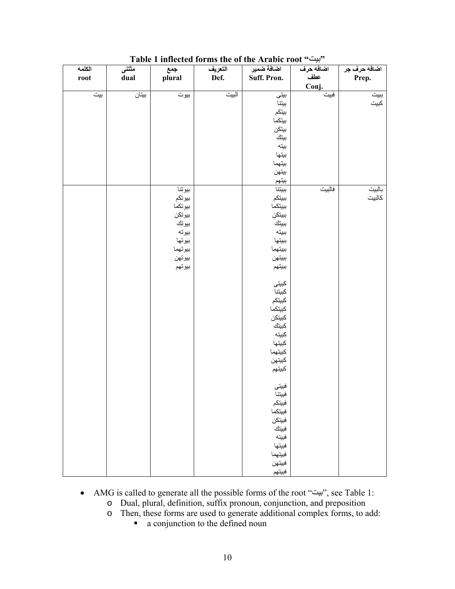| الكلمه | مثتنى | جمع             | التعريف | اضافة ضمير                                                       | اضافه حرف | اضافه حرف جر |
|--------|-------|-----------------|---------|------------------------------------------------------------------|-----------|--------------|
| root   | dual  | plural          | Def.    | Suff. Pron.                                                      | عطف       | Prep.        |
|        |       |                 |         |                                                                  | Conj.     |              |
| بیت    | بيتان | بيوت            | البيت   | بيتى                                                             | فبيت      | ببيت         |
|        |       |                 |         | ت<br>بیتکم<br>بیتکما<br>بیتکن                                    |           | كبيت         |
|        |       |                 |         |                                                                  |           |              |
|        |       |                 |         |                                                                  |           |              |
|        |       |                 |         |                                                                  |           |              |
|        |       |                 |         | ستك<br>بيتك<br>بيته                                              |           |              |
|        |       |                 |         |                                                                  |           |              |
|        |       |                 |         | بيتها                                                            |           |              |
|        |       |                 |         | بيتهما                                                           |           |              |
|        |       |                 |         |                                                                  |           |              |
|        |       |                 |         | .<br>بيتهن<br>بيتهم<br>ببيتنا                                    |           |              |
|        |       | بيوتنا          |         |                                                                  | فالبيت    | بالبيت       |
|        |       | بيوتكم          |         | ببيتكم<br>ببيتكما                                                |           | كالبيت       |
|        |       | بيوتكما         |         |                                                                  |           |              |
|        |       | بيوتكن          |         | ببيتكن                                                           |           |              |
|        |       | بيوتك           |         | ببيتك                                                            |           |              |
|        |       | بيوته<br>بيوتها |         | سب<br>بيته<br>ببيتها                                             |           |              |
|        |       | بيوتهما         |         | ببيتهما                                                          |           |              |
|        |       | بيوتهن          |         | ببيتهن                                                           |           |              |
|        |       | بيوتهم          |         | ببيتهم                                                           |           |              |
|        |       |                 |         |                                                                  |           |              |
|        |       |                 |         |                                                                  |           |              |
|        |       |                 |         | کبیتی<br>کبیتنا<br>کبیتکم<br>کبیتک<br>کبیتها<br>کبیتها<br>کبیتها |           |              |
|        |       |                 |         |                                                                  |           |              |
|        |       |                 |         |                                                                  |           |              |
|        |       |                 |         |                                                                  |           |              |
|        |       |                 |         |                                                                  |           |              |
|        |       |                 |         |                                                                  |           |              |
|        |       |                 |         |                                                                  |           |              |
|        |       |                 |         |                                                                  |           |              |
|        |       |                 |         |                                                                  |           |              |
|        |       |                 |         | بيٽ<br>كبيتهما<br>كبيتهن<br>كبيتهم                               |           |              |
|        |       |                 |         |                                                                  |           |              |
|        |       |                 |         | فبيتى                                                            |           |              |
|        |       |                 |         | فبيتنا                                                           |           |              |
|        |       |                 |         | فبيتكم<br>فبيتكما                                                |           |              |
|        |       |                 |         | فبيتكن                                                           |           |              |
|        |       |                 |         | فبيتك                                                            |           |              |
|        |       |                 |         | فبينّه                                                           |           |              |
|        |       |                 |         | فبيتها                                                           |           |              |
|        |       |                 |         | فبيتهما                                                          |           |              |
|        |       |                 |         | فبيتهن                                                           |           |              |
|        |       |                 |         | فبيتهم                                                           |           |              |
|        |       |                 |         |                                                                  |           |              |

**Table 1 inflected forms the of the Arabic root "**بیت**"**

- AMG is called to generate all the possible forms of the root "بیت", see Table 1:
	- o Dual, plural, definition, suffix pronoun, conjunction, and preposition
	- o Then, these forms are used to generate additional complex forms, to add:
		- a conjunction to the defined noun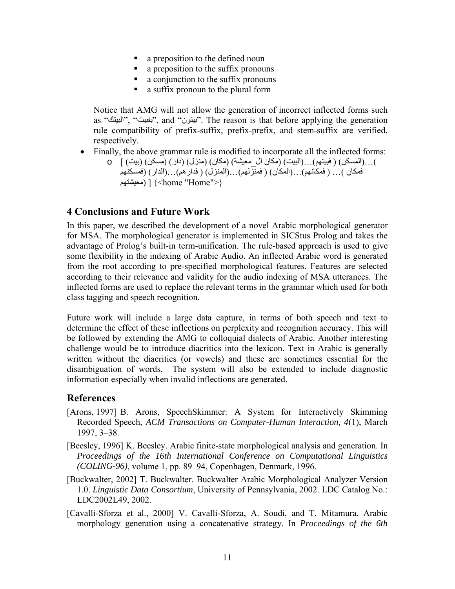- a preposition to the defined noun
- a preposition to the suffix pronouns
- a conjunction to the suffix pronouns
- a suffix pronoun to the plural form

Notice that AMG will not allow the generation of incorrect inflected forms such as "بغبیت", "البیتك", and "بیتون". The reason is that before applying the generation rule compatibility of prefix-suffix, prefix-prefix, and stem-suffix are verified, respectively.

- Finally, the above grammar rule is modified to incorporate all the inflected forms:
	- )...(المسكن) ( بیتف ھم)...(البیت) (مكان ال\_معیشة) (مكان) (منزل) (دار) (مسكن) (بیت) ] o فمكان )... ( فمكانهم)...(المكان) ( فمنزلهم)...(المنزل) ( فدار هم)...(الدار) (فمسكنهم معیشتھم>} [ (home "Home">}

## **4 Conclusions and Future Work**

In this paper, we described the development of a novel Arabic morphological generator for MSA. The morphological generator is implemented in SICStus Prolog and takes the advantage of Prolog's built-in term-unification. The rule-based approach is used to give some flexibility in the indexing of Arabic Audio. An inflected Arabic word is generated from the root according to pre-specified morphological features. Features are selected according to their relevance and validity for the audio indexing of MSA utterances. The inflected forms are used to replace the relevant terms in the grammar which used for both class tagging and speech recognition.

Future work will include a large data capture, in terms of both speech and text to determine the effect of these inflections on perplexity and recognition accuracy. This will be followed by extending the AMG to colloquial dialects of Arabic. Another interesting challenge would be to introduce diacritics into the lexicon. Text in Arabic is generally written without the diacritics (or vowels) and these are sometimes essential for the disambiguation of words. The system will also be extended to include diagnostic information especially when invalid inflections are generated.

### **References**

- [Arons, 1997] B. Arons, SpeechSkimmer: A System for Interactively Skimming Recorded Speech, *ACM Transactions on Computer-Human Interaction, 4*(1), March 1997, 3–38.
- [Beesley, 1996] K. Beesley. Arabic finite-state morphological analysis and generation. In *Proceedings of the 16th International Conference on Computational Linguistics (COLING-96)*, volume 1, pp. 89–94, Copenhagen, Denmark, 1996.
- [Buckwalter, 2002] T. Buckwalter. Buckwalter Arabic Morphological Analyzer Version 1.0. *Linguistic Data Consortium*, University of Pennsylvania, 2002. LDC Catalog No.: LDC2002L49, 2002.
- [Cavalli-Sforza et al., 2000] V. Cavalli-Sforza, A. Soudi, and T. Mitamura. Arabic morphology generation using a concatenative strategy. In *Proceedings of the 6th*